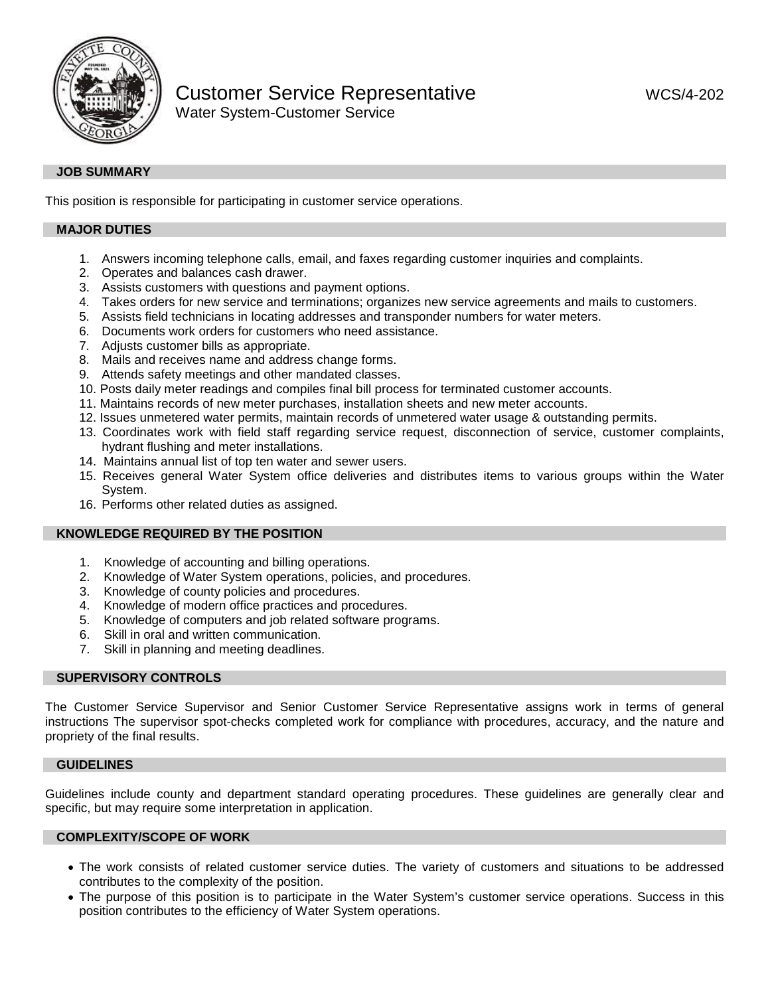

# Customer Service Representative WCS/4-202 Water System-Customer Service

## **JOB SUMMARY**

This position is responsible for participating in customer service operations.

## **MAJOR DUTIES**

- 1. Answers incoming telephone calls, email, and faxes regarding customer inquiries and complaints.
- 2. Operates and balances cash drawer.
- 3. Assists customers with questions and payment options.
- 4. Takes orders for new service and terminations; organizes new service agreements and mails to customers.
- 5. Assists field technicians in locating addresses and transponder numbers for water meters.
- 6. Documents work orders for customers who need assistance.
- 7. Adjusts customer bills as appropriate.
- 8. Mails and receives name and address change forms.
- 9. Attends safety meetings and other mandated classes.
- 10. Posts daily meter readings and compiles final bill process for terminated customer accounts.
- 11. Maintains records of new meter purchases, installation sheets and new meter accounts.
- 12. Issues unmetered water permits, maintain records of unmetered water usage & outstanding permits.
- 13. Coordinates work with field staff regarding service request, disconnection of service, customer complaints, hydrant flushing and meter installations.
- 14. Maintains annual list of top ten water and sewer users.
- 15. Receives general Water System office deliveries and distributes items to various groups within the Water System.
- 16. Performs other related duties as assigned.

# **KNOWLEDGE REQUIRED BY THE POSITION**

- 1. Knowledge of accounting and billing operations.
- 2. Knowledge of Water System operations, policies, and procedures.
- 3. Knowledge of county policies and procedures.
- 4. Knowledge of modern office practices and procedures.
- 5. Knowledge of computers and job related software programs.
- 6. Skill in oral and written communication.
- 7. Skill in planning and meeting deadlines.

## **SUPERVISORY CONTROLS**

The Customer Service Supervisor and Senior Customer Service Representative assigns work in terms of general instructions The supervisor spot-checks completed work for compliance with procedures, accuracy, and the nature and propriety of the final results.

# **GUIDELINES**

Guidelines include county and department standard operating procedures. These guidelines are generally clear and specific, but may require some interpretation in application.

## **COMPLEXITY/SCOPE OF WORK**

- The work consists of related customer service duties. The variety of customers and situations to be addressed contributes to the complexity of the position.
- The purpose of this position is to participate in the Water System's customer service operations. Success in this position contributes to the efficiency of Water System operations.